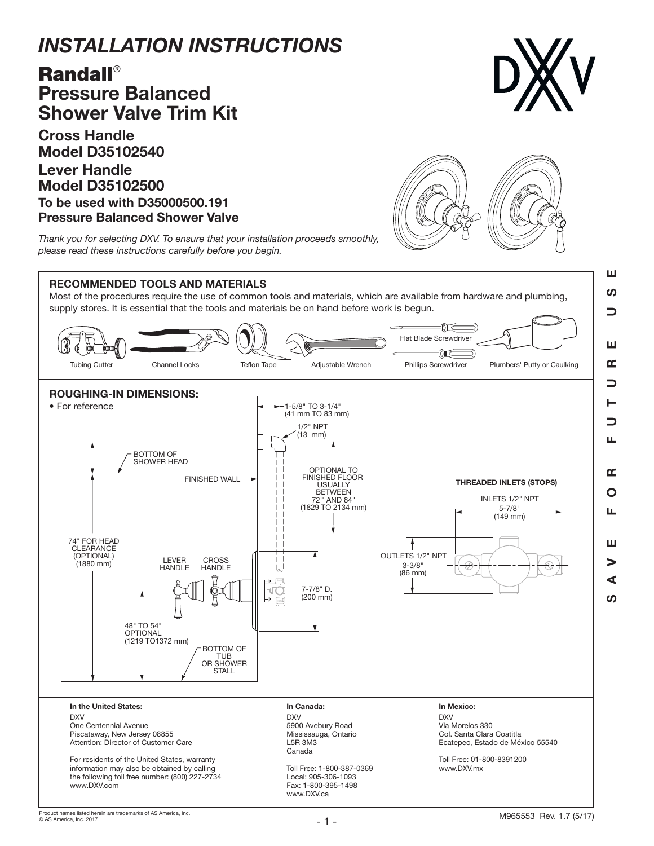## *INSTALLATION INSTRUCTIONS*

## Randall® Pressure Balanced Shower Valve Trim Kit

Cross Handle Model D35102540 Lever Handle Model D35102500 To be used with D35000500.191 Pressure Balanced Shower Valve



SAVE FOR FUTURE USE

 $\alpha$  $\overline{O}$ ய

ш  $\blacktriangleright$ ⋖ ഗ

┑ Щ

ш ທ コ

ш

 $\alpha$ ⊃



*Thank you for selecting DXV. To ensure that your installation proceeds smoothly, please read these instructions carefully before you begin.*



Most of the procedures require the use of common tools and materials, which are available from hardware and plumbing, supply stores. It is essential that the tools and materials be on hand before work is begun.



www.DXV.com

the following toll free number: (800) 227-2734

Local: 905-306-1093 Fax: 1-800-395-1498 www.DXV.ca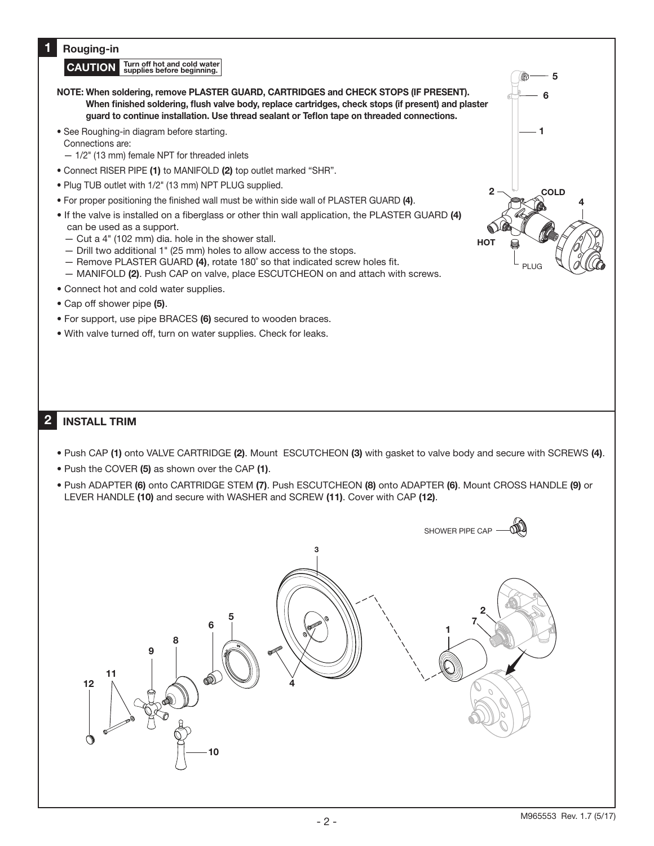## 1 Rouging-in

CAUTION Turn off hot and cold water

- NOTE: When soldering, remove PLASTER GUARD, CARTRIDGES and CHECK STOPS (IF PRESENT). When finished soldering, flush valve body, replace cartridges, check stops (if present) and plaster guard to continue installation. Use thread sealant or Teflon tape on threaded connections.
- See Roughing-in diagram before starting.
- Connections are:
- 1/2" (13 mm) female NPT for threaded inlets
- Connect RISER PIPE (1) to MANIFOLD (2) top outlet marked "SHR".
- Plug TUB outlet with 1/2" (13 mm) NPT PLUG supplied.
- For proper positioning the finished wall must be within side wall of PLASTER GUARD (4).
- If the valve is installed on a fiberglass or other thin wall application, the PLASTER GUARD (4) can be used as a support.
	- Cut a 4" (102 mm) dia. hole in the shower stall.
	- Drill two additional 1" (25 mm) holes to allow access to the stops.
	- Remove PLASTER GUARD (4), rotate 180˚ so that indicated screw holes fit.
	- MANIFOLD (2). Push CAP on valve, place ESCUTCHEON on and attach with screws.
- Connect hot and cold water supplies.
- Cap off shower pipe (5).
- For support, use pipe BRACES (6) secured to wooden braces.
- With valve turned off, turn on water supplies. Check for leaks.



## 2 INSTALL TRIM

- Push CAP (1) onto VALVE CARTRIDGE (2). Mount ESCUTCHEON (3) with gasket to valve body and secure with SCREWS (4).
- Push the COVER (5) as shown over the CAP (1).
- Push ADAPTER (6) onto CARTRIDGE STEM (7). Push ESCUTCHEON (8) onto ADAPTER (6). Mount CROSS HANDLE (9) or LEVER HANDLE (10) and secure with WASHER and SCREW (11). Cover with CAP (12).

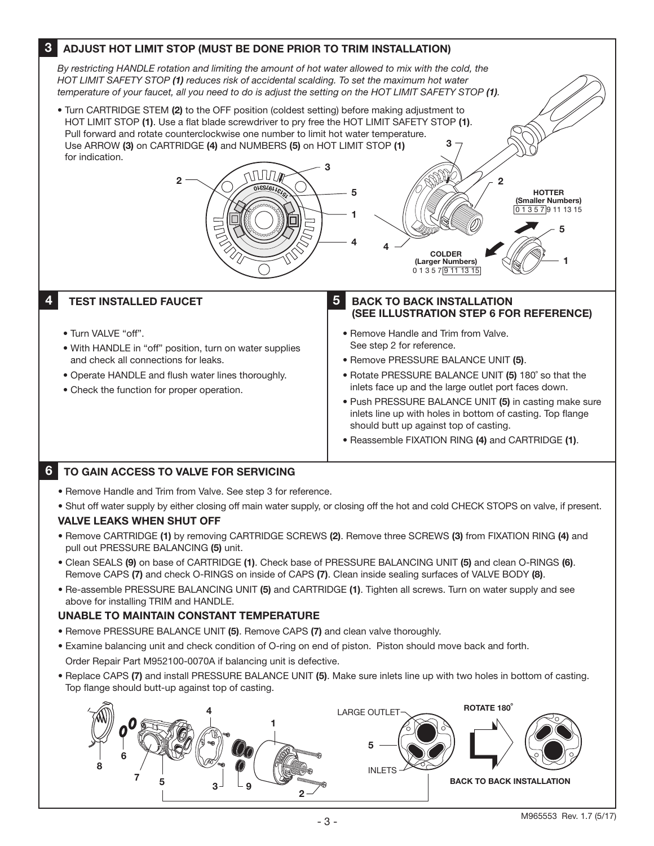